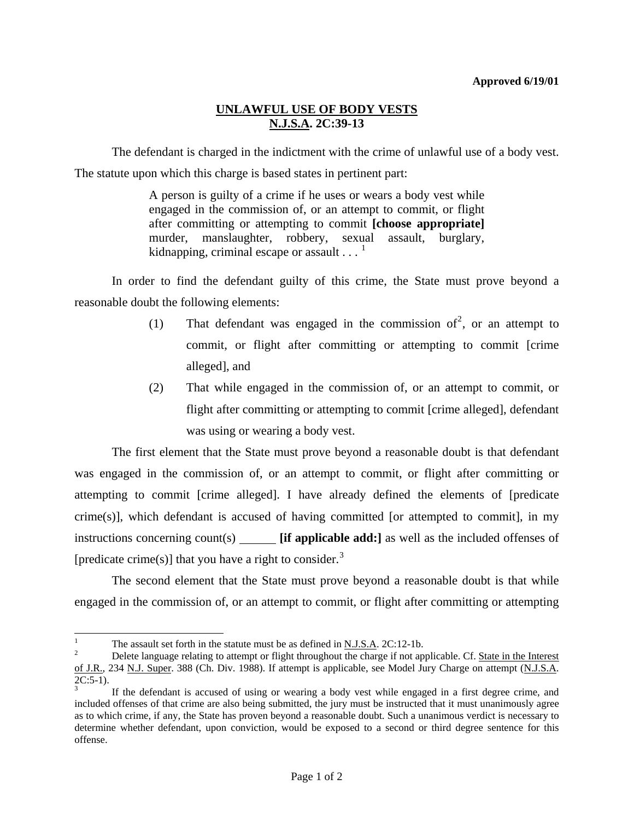## **UNLAWFUL USE OF BODY VESTS N.J.S.A. 2C:39-13**

 The defendant is charged in the indictment with the crime of unlawful use of a body vest. The statute upon which this charge is based states in pertinent part:

> A person is guilty of a crime if he uses or wears a body vest while engaged in the commission of, or an attempt to commit, or flight after committing or attempting to commit **[choose appropriate]** murder, manslaughter, robbery, sexual assault, burglary, kidnapping, criminal escape or assault  $\ldots$ <sup>[1](#page-0-0)</sup>

 In order to find the defendant guilty of this crime, the State must prove beyond a reasonable doubt the following elements:

- (1) That defendant was engaged in the commission of<sup>[2](#page-0-1)</sup>, or an attempt to commit, or flight after committing or attempting to commit [crime alleged], and
- (2) That while engaged in the commission of, or an attempt to commit, or flight after committing or attempting to commit [crime alleged], defendant was using or wearing a body vest.

 The first element that the State must prove beyond a reasonable doubt is that defendant was engaged in the commission of, or an attempt to commit, or flight after committing or attempting to commit [crime alleged]. I have already defined the elements of [predicate crime(s)], which defendant is accused of having committed [or attempted to commit], in my instructions concerning count(s) **[if applicable add:]** as well as the included offenses of [predicate crime(s)] that you have a right to consider.<sup>[3](#page-0-2)</sup>

 The second element that the State must prove beyond a reasonable doubt is that while engaged in the commission of, or an attempt to commit, or flight after committing or attempting

<sup>|&</sup>lt;br>|<br>| The assault set forth in the statute must be as defined in N.J.S.A. 2C:12-1b.

<span id="page-0-1"></span><span id="page-0-0"></span>Delete language relating to attempt or flight throughout the charge if not applicable. Cf. State in the Interest of J.R., 234 N.J. Super. 388 (Ch. Div. 1988). If attempt is applicable, see Model Jury Charge on attempt (N.J.S.A.  $2C:5-1$ ).

<span id="page-0-2"></span><sup>3</sup> If the defendant is accused of using or wearing a body vest while engaged in a first degree crime, and included offenses of that crime are also being submitted, the jury must be instructed that it must unanimously agree as to which crime, if any, the State has proven beyond a reasonable doubt. Such a unanimous verdict is necessary to determine whether defendant, upon conviction, would be exposed to a second or third degree sentence for this offense.